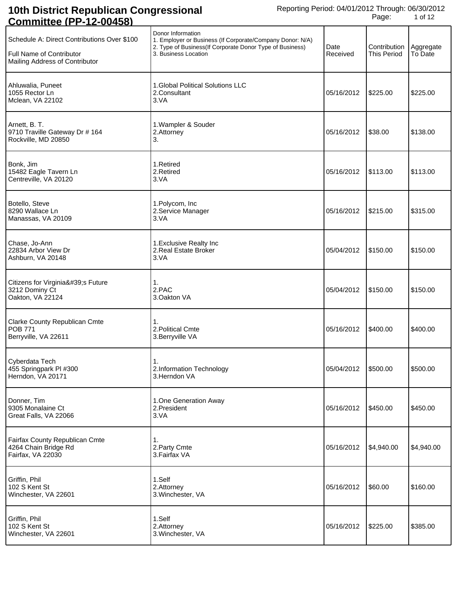| Schedule A: Direct Contributions Over \$100<br><b>Full Name of Contributor</b><br>Mailing Address of Contributor | Donor Information<br>1. Employer or Business (If Corporate/Company Donor: N/A)<br>2. Type of Business(If Corporate Donor Type of Business)<br>3. Business Location | Date<br>Received | Contribution<br><b>This Period</b> | Aggregate<br>To Date |
|------------------------------------------------------------------------------------------------------------------|--------------------------------------------------------------------------------------------------------------------------------------------------------------------|------------------|------------------------------------|----------------------|
| Ahluwalia, Puneet<br>1055 Rector Ln<br>Mclean, VA 22102                                                          | 1. Global Political Solutions LLC<br>2.Consultant<br>3.VA                                                                                                          | 05/16/2012       | \$225.00                           | \$225.00             |
| Arnett, B. T.<br>9710 Traville Gateway Dr # 164<br>Rockville, MD 20850                                           | 1. Wampler & Souder<br>2.Attorney<br>3.                                                                                                                            | 05/16/2012       | \$38.00                            | \$138.00             |
| Bonk, Jim<br>15482 Eagle Tavern Ln<br>Centreville, VA 20120                                                      | 1.Retired<br>2.Retired<br>3.VA                                                                                                                                     | 05/16/2012       | \$113.00                           | \$113.00             |
| Botello, Steve<br>8290 Wallace Ln<br>Manassas, VA 20109                                                          | 1. Polycom, Inc<br>2. Service Manager<br>3.VA                                                                                                                      | 05/16/2012       | \$215.00                           | \$315.00             |
| Chase, Jo-Ann<br>22834 Arbor View Dr<br>Ashburn, VA 20148                                                        | 1. Exclusive Realty Inc<br>2. Real Estate Broker<br>3.VA                                                                                                           | 05/04/2012       | \$150.00                           | \$150.00             |
| Citizens for Virginia's Future<br>3212 Dominy Ct<br>Oakton, VA 22124                                             | 1.<br>2.PAC<br>3.Oakton VA                                                                                                                                         | 05/04/2012       | \$150.00                           | \$150.00             |
| Clarke County Republican Cmte<br><b>POB 771</b><br>Berryville, VA 22611                                          | 1.<br>2. Political Cmte<br>3. Berryville VA                                                                                                                        | 05/16/2012       | \$400.00                           | \$400.00             |
| Cyberdata Tech<br>455 Springpark PI #300<br>Herndon, VA 20171                                                    | 1.<br>2.Information Technology<br>3. Herndon VA                                                                                                                    | 05/04/2012       | \$500.00                           | \$500.00             |
| Donner, Tim<br>9305 Monalaine Ct<br>Great Falls, VA 22066                                                        | 1.One Generation Away<br>2.President<br>3.VA                                                                                                                       | 05/16/2012       | \$450.00                           | \$450.00             |
| Fairfax County Republican Cmte<br>4264 Chain Bridge Rd<br>Fairfax, VA 22030                                      | 1.<br>2. Party Cmte<br>3. Fairfax VA                                                                                                                               | 05/16/2012       | \$4,940.00                         | \$4,940.00           |
| Griffin, Phil<br>102 S Kent St<br>Winchester, VA 22601                                                           | 1.Self<br>2.Attorney<br>3. Winchester, VA                                                                                                                          | 05/16/2012       | \$60.00                            | \$160.00             |
| Griffin, Phil<br>102 S Kent St<br>Winchester, VA 22601                                                           | 1.Self<br>2.Attorney<br>3. Winchester, VA                                                                                                                          | 05/16/2012       | \$225.00                           | \$385.00             |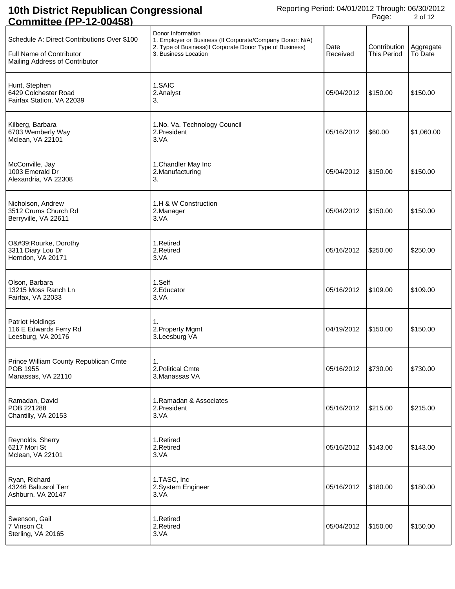| whillitty                                                                                                 |                                                                                                                                                                     |                  |                                    |                      |
|-----------------------------------------------------------------------------------------------------------|---------------------------------------------------------------------------------------------------------------------------------------------------------------------|------------------|------------------------------------|----------------------|
| Schedule A: Direct Contributions Over \$100<br>Full Name of Contributor<br>Mailing Address of Contributor | Donor Information<br>1. Employer or Business (If Corporate/Company Donor: N/A)<br>2. Type of Business (If Corporate Donor Type of Business)<br>3. Business Location | Date<br>Received | Contribution<br><b>This Period</b> | Aggregate<br>To Date |
| Hunt, Stephen<br>6429 Colchester Road<br>Fairfax Station, VA 22039                                        | 1.SAIC<br>2.Analyst<br>3.                                                                                                                                           | 05/04/2012       | \$150.00                           | \$150.00             |
| Kilberg, Barbara<br>6703 Wemberly Way<br>Mclean, VA 22101                                                 | 1.No. Va. Technology Council<br>2.President<br>3.VA                                                                                                                 | 05/16/2012       | \$60.00                            | \$1,060.00           |
| McConville, Jay<br>1003 Emerald Dr<br>Alexandria, VA 22308                                                | 1. Chandler May Inc<br>2. Manufacturing<br>3.                                                                                                                       | 05/04/2012       | \$150.00                           | \$150.00             |
| Nicholson, Andrew<br>3512 Crums Church Rd<br>Berryville, VA 22611                                         | 1.H & W Construction<br>2.Manager<br>3.VA                                                                                                                           | 05/04/2012       | \$150.00                           | \$150.00             |
| O'Rourke, Dorothy<br>3311 Diary Lou Dr<br>Herndon, VA 20171                                               | 1.Retired<br>2.Retired<br>3.VA                                                                                                                                      | 05/16/2012       | \$250.00                           | \$250.00             |
| Olson, Barbara<br>13215 Moss Ranch Ln<br>Fairfax, VA 22033                                                | 1.Self<br>2. Educator<br>3.VA                                                                                                                                       | 05/16/2012       | \$109.00                           | \$109.00             |
| <b>Patriot Holdings</b><br>116 E Edwards Ferry Rd<br>Leesburg, VA 20176                                   | 1.<br>2. Property Mgmt<br>3.Leesburg VA                                                                                                                             | 04/19/2012       | \$150.00                           | \$150.00             |
| Prince William County Republican Cmte<br>POB 1955<br>Manassas, VA 22110                                   | 1.<br>2. Political Cmte<br>3.Manassas VA                                                                                                                            | 05/16/2012       | \$730.00                           | \$730.00             |
| Ramadan, David<br>POB 221288<br>Chantilly, VA 20153                                                       | 1. Ramadan & Associates<br>2.President<br>3.VA                                                                                                                      | 05/16/2012       | \$215.00                           | \$215.00             |
| Reynolds, Sherry<br>6217 Mori St<br>Mclean, VA 22101                                                      | 1.Retired<br>2.Retired<br>3.VA                                                                                                                                      | 05/16/2012       | \$143.00                           | \$143.00             |
| Ryan, Richard<br>43246 Baltusrol Terr<br>Ashburn, VA 20147                                                | 1.TASC, Inc<br>2.System Engineer<br>3.VA                                                                                                                            | 05/16/2012       | \$180.00                           | \$180.00             |
| Swenson, Gail<br>7 Vinson Ct<br>Sterling, VA 20165                                                        | 1.Retired<br>2.Retired<br>3.VA                                                                                                                                      | 05/04/2012       | \$150.00                           | \$150.00             |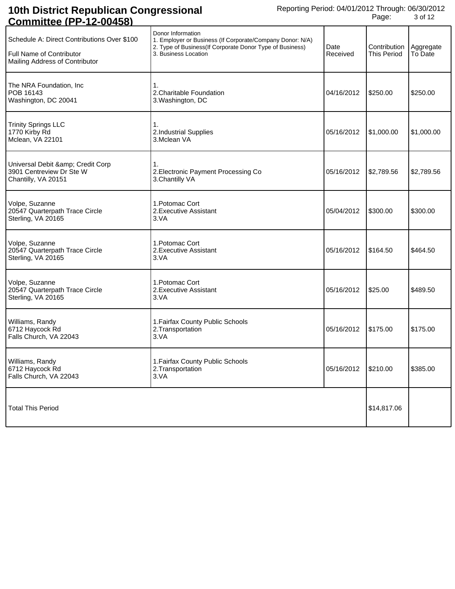| <u> COMMIttee (PP-12-00458)</u>                                                                           |                                                                                                                                                                     |                  |                                    |                      |
|-----------------------------------------------------------------------------------------------------------|---------------------------------------------------------------------------------------------------------------------------------------------------------------------|------------------|------------------------------------|----------------------|
| Schedule A: Direct Contributions Over \$100<br>Full Name of Contributor<br>Mailing Address of Contributor | Donor Information<br>1. Employer or Business (If Corporate/Company Donor: N/A)<br>2. Type of Business (If Corporate Donor Type of Business)<br>3. Business Location | Date<br>Received | Contribution<br><b>This Period</b> | Aggregate<br>To Date |
| The NRA Foundation, Inc<br>POB 16143<br>Washington, DC 20041                                              | 1.<br>2. Charitable Foundation<br>3. Washington, DC                                                                                                                 | 04/16/2012       | \$250.00                           | \$250.00             |
| <b>Trinity Springs LLC</b><br>1770 Kirby Rd<br>Mclean, VA 22101                                           | 1.<br>2.Industrial Supplies<br>3.Mclean VA                                                                                                                          | 05/16/2012       | \$1,000.00                         | \$1,000.00           |
| Universal Debit & Credit Corp<br>3901 Centreview Dr Ste W<br>Chantilly, VA 20151                          | 1.<br>2. Electronic Payment Processing Co<br>3. Chantilly VA                                                                                                        | 05/16/2012       | \$2,789.56                         | \$2,789.56           |
| Volpe, Suzanne<br>20547 Quarterpath Trace Circle<br>Sterling, VA 20165                                    | 1. Potomac Cort<br>2. Executive Assistant<br>3.VA                                                                                                                   | 05/04/2012       | \$300.00                           | \$300.00             |
| Volpe, Suzanne<br>20547 Quarterpath Trace Circle<br>Sterling, VA 20165                                    | 1. Potomac Cort<br>2. Executive Assistant<br>3.VA                                                                                                                   | 05/16/2012       | \$164.50                           | \$464.50             |
| Volpe, Suzanne<br>20547 Quarterpath Trace Circle<br>Sterling, VA 20165                                    | 1. Potomac Cort<br>2. Executive Assistant<br>3.VA                                                                                                                   | 05/16/2012       | \$25.00                            | \$489.50             |
| Williams, Randy<br>6712 Haycock Rd<br>Falls Church, VA 22043                                              | 1. Fairfax County Public Schools<br>2. Transportation<br>3.VA                                                                                                       | 05/16/2012       | \$175.00                           | \$175.00             |
| Williams, Randy<br>6712 Haycock Rd<br>Falls Church, VA 22043                                              | 1. Fairfax County Public Schools<br>2. Transportation<br>3.VA                                                                                                       | 05/16/2012       | \$210.00                           | \$385.00             |
| <b>Total This Period</b>                                                                                  |                                                                                                                                                                     |                  | \$14,817.06                        |                      |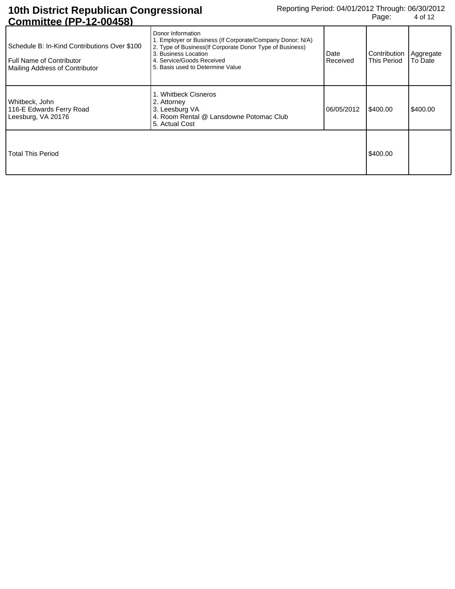| Schedule B: In-Kind Contributions Over \$100<br><b>Full Name of Contributor</b><br>Mailing Address of Contributor | Donor Information<br>1. Employer or Business (If Corporate/Company Donor: N/A)<br>2. Type of Business (If Corporate Donor Type of Business)<br>3. Business Location<br>4. Service/Goods Received<br>5. Basis used to Determine Value | Date<br>Received | Contribution   Aggregate<br>This Period | To Date  |
|-------------------------------------------------------------------------------------------------------------------|--------------------------------------------------------------------------------------------------------------------------------------------------------------------------------------------------------------------------------------|------------------|-----------------------------------------|----------|
| Whitbeck, John<br>116-E Edwards Ferry Road<br>Leesburg, VA 20176                                                  | . Whitbeck Cisneros<br>2. Attorney<br>3. Leesburg VA<br>4. Room Rental @ Lansdowne Potomac Club<br>5. Actual Cost                                                                                                                    | 06/05/2012       | \$400.00                                | \$400.00 |
| Total This Period                                                                                                 |                                                                                                                                                                                                                                      |                  | \$400.00                                |          |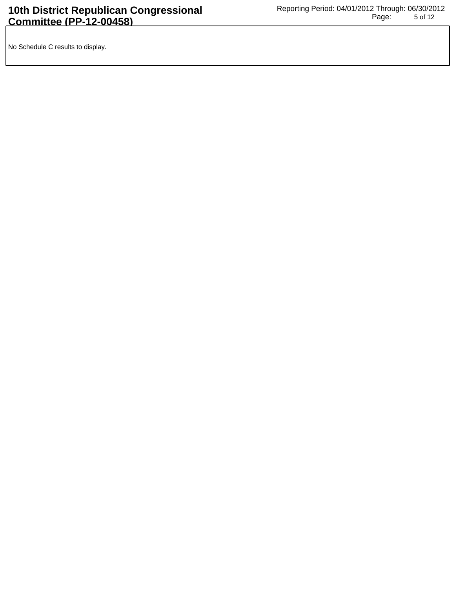No Schedule C results to display.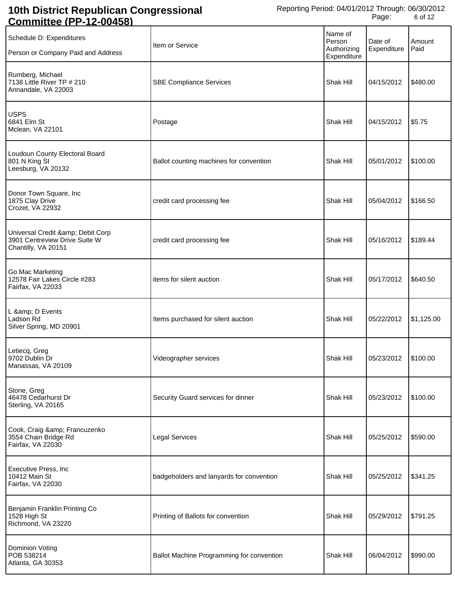| <u>,,,,,,,,,,,,,,</u><br>14 VVT                                                       |                                           |                                                 |                        |                |
|---------------------------------------------------------------------------------------|-------------------------------------------|-------------------------------------------------|------------------------|----------------|
| Schedule D: Expenditures<br>Person or Company Paid and Address                        | Item or Service                           | Name of<br>Person<br>Authorizing<br>Expenditure | Date of<br>Expenditure | Amount<br>Paid |
| Rumberg, Michael<br>7138 Little River TP # 210<br>Annandale, VA 22003                 | <b>SBE Compliance Services</b>            | Shak Hill                                       | 04/15/2012             | \$480.00       |
| <b>USPS</b><br>6841 Elm St<br>Mclean, VA 22101                                        | Postage                                   | Shak Hill                                       | 04/15/2012             | \$5.75         |
| Loudoun County Electoral Board<br>801 N King St<br>Leesburg, VA 20132                 | Ballot counting machines for convention   | Shak Hill                                       | 05/01/2012             | \$100.00       |
| Donor Town Square, Inc<br>1875 Clay Drive<br>Crozet, VA 22932                         | credit card processing fee                | Shak Hill                                       | 05/04/2012             | \$166.50       |
| Universal Credit & Debit Corp<br>3901 Centreview Drive Suite W<br>Chantilly, VA 20151 | credit card processing fee                | Shak Hill                                       | 05/16/2012             | \$189.44       |
| Go Mac Marketing<br>12578 Fair Lakes Circle #283<br>Fairfax, VA 22033                 | items for silent auction                  | Shak Hill                                       | 05/17/2012             | \$640.50       |
| L & D Events<br>Ladson Rd<br>Silver Spring, MD 20901                                  | Items purchased for silent auction        | Shak Hill                                       | 05/22/2012             | \$1,125.00     |
| Letiecq, Greg<br>9702 Dublin Dr<br>Manassas, VA 20109                                 | Videographer services                     | Shak Hill                                       | 05/23/2012 \$100.00    |                |
| Stone, Greg<br>46478 Cedarhurst Dr<br>Sterling, VA 20165                              | Security Guard services for dinner        | Shak Hill                                       | 05/23/2012             | \$100.00       |
| Cook, Craig & Francuzenko<br>3554 Chain Bridge Rd<br>Fairfax, VA 22030                | <b>Legal Services</b>                     | Shak Hill                                       | 05/25/2012             | \$590.00       |
| <b>Executive Press, Inc.</b><br>10412 Main St<br>Fairfax, VA 22030                    | badgeholders and lanyards for convention  | Shak Hill                                       | 05/25/2012             | \$341.25       |
| Benjamin Franklin Printing Co<br>1528 High St<br>Richmond, VA 23220                   | Printing of Ballots for convention        | Shak Hill                                       | 05/29/2012             | \$791.25       |
| Dominion Voting<br>POB 538214<br>Atlanta, GA 30353                                    | Ballot Machine Programming for convention | Shak Hill                                       | 06/04/2012             | \$990.00       |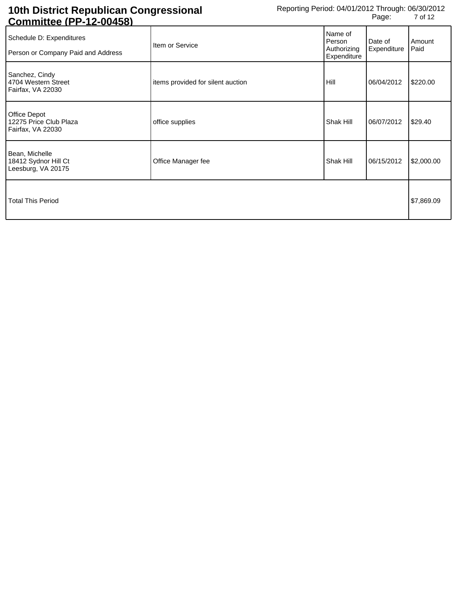| <u> COINNINUEE (FF-12-00430)</u>                               |                                   |                                                 |                        |                |
|----------------------------------------------------------------|-----------------------------------|-------------------------------------------------|------------------------|----------------|
| Schedule D: Expenditures<br>Person or Company Paid and Address | Item or Service                   | Name of<br>Person<br>Authorizing<br>Expenditure | Date of<br>Expenditure | Amount<br>Paid |
| Sanchez, Cindy<br>4704 Western Street<br>Fairfax, VA 22030     | items provided for silent auction | Hill                                            | 06/04/2012             | \$220.00       |
| Office Depot<br>12275 Price Club Plaza<br>Fairfax, VA 22030    | office supplies                   | Shak Hill                                       | 06/07/2012             | \$29.40        |
| Bean, Michelle<br>18412 Sydnor Hill Ct<br>Leesburg, VA 20175   | Office Manager fee                | Shak Hill                                       | 06/15/2012             | \$2,000.00     |
| <b>Total This Period</b>                                       |                                   |                                                 |                        | \$7,869.09     |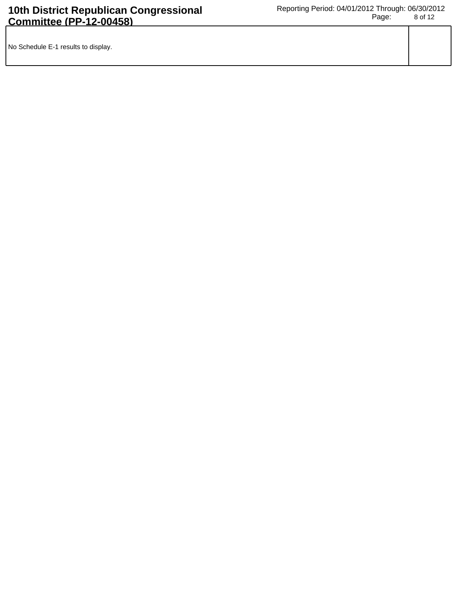| No Schedule E-1 results to display. |  |
|-------------------------------------|--|
|                                     |  |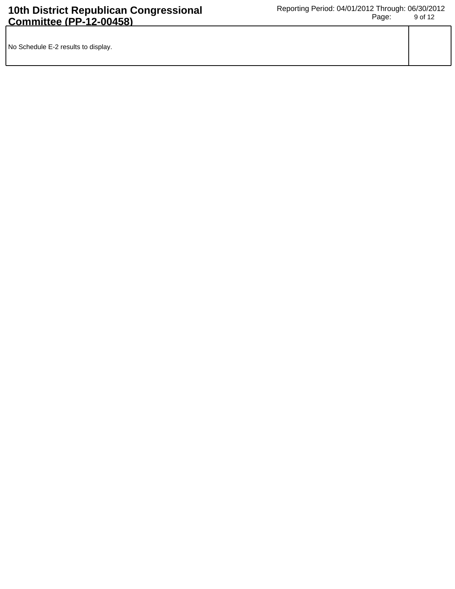| No Schedule E-2 results to display. |  |
|-------------------------------------|--|
|                                     |  |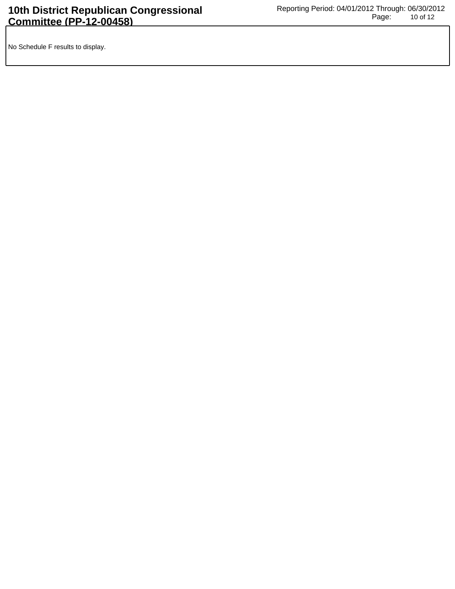No Schedule F results to display.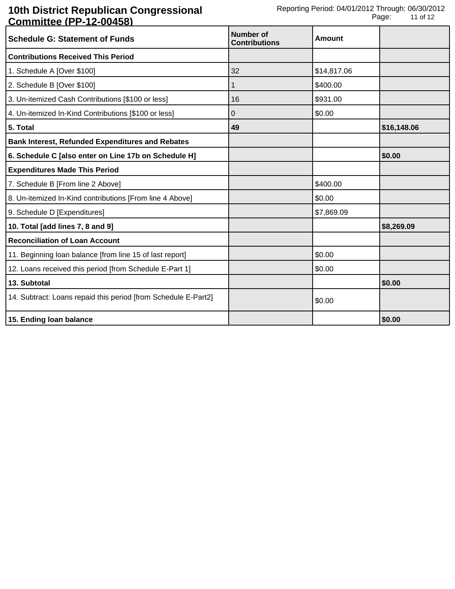| <u> Johnnittud († † 12 00400)</u><br><b>Schedule G: Statement of Funds</b> | Number of<br><b>Contributions</b> | <b>Amount</b> |             |
|----------------------------------------------------------------------------|-----------------------------------|---------------|-------------|
| <b>Contributions Received This Period</b>                                  |                                   |               |             |
| 1. Schedule A [Over \$100]                                                 | 32                                | \$14,817.06   |             |
| 2. Schedule B [Over \$100]                                                 | 1                                 | \$400.00      |             |
| 3. Un-itemized Cash Contributions [\$100 or less]                          | 16                                | \$931.00      |             |
| 4. Un-itemized In-Kind Contributions [\$100 or less]                       | 0                                 | \$0.00        |             |
| 5. Total                                                                   | 49                                |               | \$16,148.06 |
| <b>Bank Interest, Refunded Expenditures and Rebates</b>                    |                                   |               |             |
| 6. Schedule C [also enter on Line 17b on Schedule H]                       |                                   |               | \$0.00      |
| <b>Expenditures Made This Period</b>                                       |                                   |               |             |
| 7. Schedule B [From line 2 Above]                                          |                                   | \$400.00      |             |
| 8. Un-itemized In-Kind contributions [From line 4 Above]                   |                                   | \$0.00        |             |
| 9. Schedule D [Expenditures]                                               |                                   | \$7,869.09    |             |
| 10. Total [add lines 7, 8 and 9]                                           |                                   |               | \$8,269.09  |
| <b>Reconciliation of Loan Account</b>                                      |                                   |               |             |
| 11. Beginning loan balance [from line 15 of last report]                   |                                   | \$0.00        |             |
| 12. Loans received this period [from Schedule E-Part 1]                    |                                   | \$0.00        |             |
| 13. Subtotal                                                               |                                   |               | \$0.00      |
| 14. Subtract: Loans repaid this period [from Schedule E-Part2]             |                                   | \$0.00        |             |
| 15. Ending loan balance                                                    |                                   |               | \$0.00      |